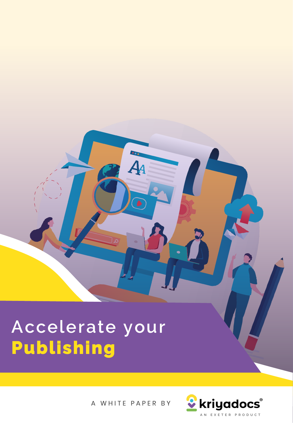## **Accelerate your Pub lishing**

A WHITE PAPER BY

4д

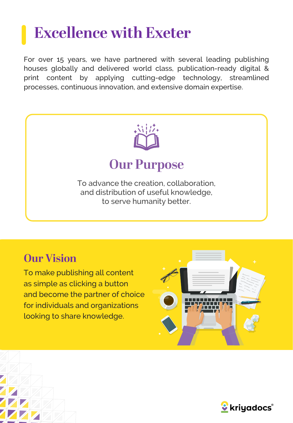## **Excellence with Exeter**

For over 15 years, we have partnered with several leading publishing houses globally and delivered world class, publication-ready digital & print content by applying cutting-edge technology, streamlined processes, continuous innovation, and extensive domain expertise.



### **Our Vision**

To make publishing all content as simple as clicking a button and become the partner of choice for individuals and organizations looking to share knowledge.



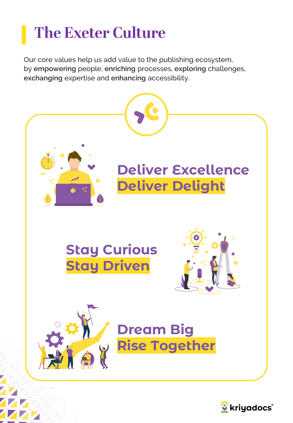## **The Exeter Culture**

Our core values help us add value to the publishing ecosystem, by **empowering** people, **enriching** processes, **exploring** challenges, **exchanging** expertise and **enhancing** accessibility.



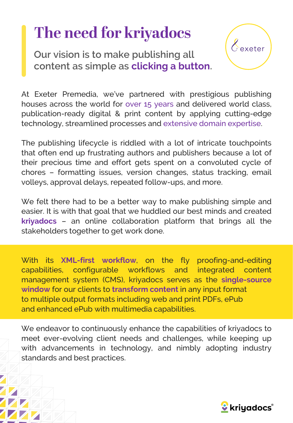## The need for kriyadocs

**Our vision is to make publishing all content as simple as clicking a button.**

At Exeter Premedia, we've partnered with prestigious publishing houses across the world for over 15 years and delivered world class, publication-ready digital & print content by applying cutting-edge technology, streamlined processes and extensive domain expertise.

The publishing lifecycle is riddled with a lot of intricate touchpoints that often end up frustrating authors and publishers because a lot of their precious time and effort gets spent on a convoluted cycle of chores – formatting issues, version changes, status tracking, email volleys, approval delays, repeated follow-ups, and more.

We felt there had to be a better way to make publishing simple and easier. It is with that goal that we huddled our best minds and created **kriyadocs** – an online collaboration platform that brings all the stakeholders together to get work done.

With its **XML-first workflow**, on the fly proofing-and-editing capabilities, configurable workflows and integrated content management system (CMS), kriyadocs serves as the **single-source window** for our clients to **transform content** in any input format to multiple output formats including web and print PDFs, ePub and enhanced ePub with multimedia capabilities.

We endeavor to continuously enhance the capabilities of kriyadocs to meet ever-evolving client needs and challenges, while keeping up with advancements in technology, and nimbly adopting industry standards and best practices.



 $\ell$  exeter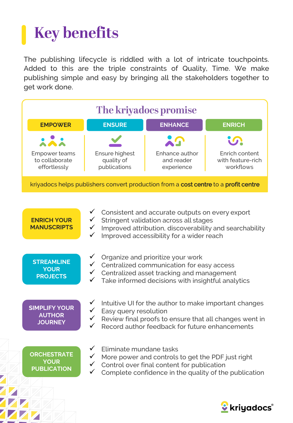# **Key benefits**

The publishing lifecycle is riddled with a lot of intricate touchpoints. Added to this are the triple constraints of Quality, Time. We make publishing simple and easy by bringing all the stakeholders together to get work done.



| <b>ENRICH YOUR</b><br><b>MANUSCRIPTS</b>                | Consistent and accurate outputs on every export<br>Stringent validation across all stages<br>Improved attribution, discoverability and searchability<br>$\checkmark$<br>Improved accessibility for a wider reach<br>$\checkmark$ |
|---------------------------------------------------------|----------------------------------------------------------------------------------------------------------------------------------------------------------------------------------------------------------------------------------|
| <b>STREAMLINE</b><br><b>YOUR</b><br><b>PROJECTS</b>     | Organize and prioritize your work<br>Centralized communication for easy access<br>Centralized asset tracking and management<br>$\checkmark$<br>Take informed decisions with insightful analytics<br>✓                            |
| <b>SIMPLIFY YOUR</b><br><b>AUTHOR</b><br><b>JOURNEY</b> | Intuitive UI for the author to make important changes<br>Easy query resolution<br>Review final proofs to ensure that all changes went in<br>Record author feedback for future enhancements<br>✓                                  |
| <b>ORCHESTRATE</b><br><b>YOUR</b><br><b>PUBLICATION</b> | Eliminate mundane tasks<br>More power and controls to get the PDF just right<br>Control over final content for publication<br>Complete confidence in the quality of the publication                                              |
|                                                         | kriyadoc:                                                                                                                                                                                                                        |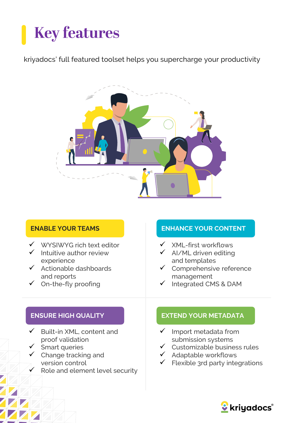# **Key features**

### kriyadocs' full featured toolset helps you supercharge your productivity



#### **ENABLE YOUR TEAMS**

- ✓ WYSIWYG rich text editor
- $\checkmark$  Intuitive author review experience
- ✓ Actionable dashboards and reports
- $\checkmark$  On-the-fly proofing

### **ENHANCE YOUR CONTENT**

- ✓ XML-first workflows
- AI/ML driven editing and templates
- Comprehensive reference management
- Integrated CMS & DAM

#### **ENSURE HIGH QUALITY**

- ✓ Built-in XML, content and proof validation
- Smart queries
- $\checkmark$  Change tracking and version control
- Role and element level security

### **EXTEND YOUR METADATA**

- $\checkmark$  Import metadata from submission systems
- Customizable business rules
- ✓ Adaptable workflows
- Flexible 3rd party integrations

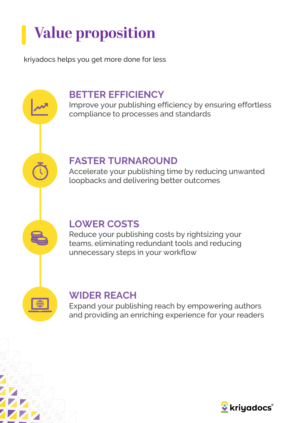# **Value proposition**

kriyadocs helps you get more done for less

### **BETTER EFFICIENCY**

Improve your publishing efficiency by ensuring effortless compliance to processes and standards

### **FASTER TURNAROUND**

Accelerate your publishing time by reducing unwanted loopbacks and delivering better outcomes

### **LOWER COSTS**

Reduce your publishing costs by rightsizing your teams, eliminating redundant tools and reducing unnecessary steps in your workflow



### **WIDER REACH**

Expand your publishing reach by empowering authors and providing an enriching experience for your readers

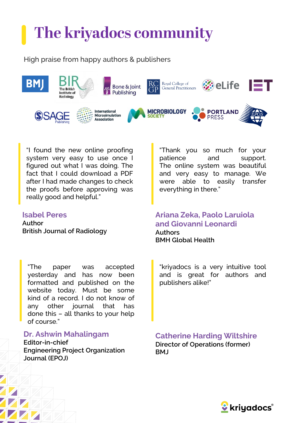# The kriyadocs community

High praise from happy authors & publishers



"I found the new online proofing system very easy to use once I figured out what I was doing. The fact that I could download a PDF after I had made changes to check the proofs before approving was really good and helpful."

#### **Isabel Peres**

**Author British Journal of Radiology**

"Thank you so much for your patience and support. The online system was beautiful and very easy to manage. We were able to easily transfer everything in there."

#### **Ariana Zeka, Paolo Laruiola and Giovanni Leonardi Authors BMH Global Health**

"The paper was accepted yesterday and has now been formatted and published on the website today. Must be some kind of a record. I do not know of any other journal that has done this – all thanks to your help of course."

**Dr. Ashwin Mahalingam**

**Editor-in-chief Engineering Project Organization Journal (EPOJ)**

"kriyadocs is a very intuitive tool and is great for authors and publishers alike!"

**Catherine Harding Wiltshire Director of Operations (former) BMJ**